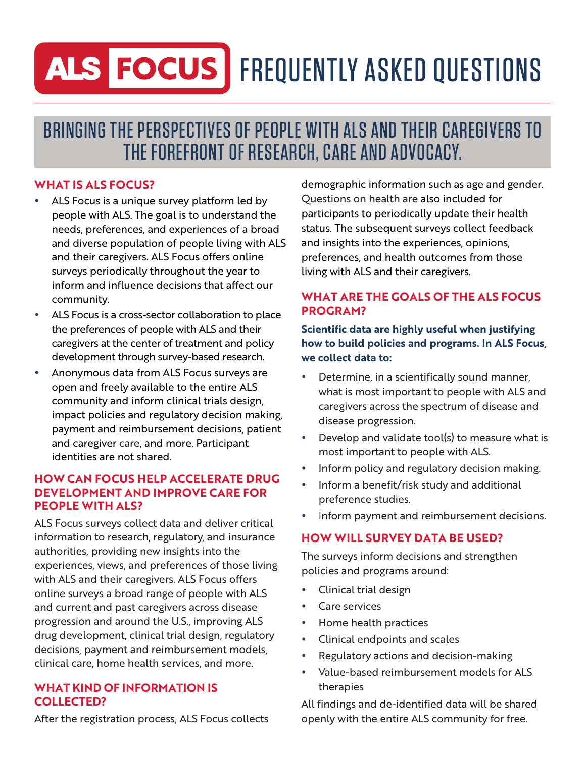# ALS FOCUS FREQUENTLY ASKED QUESTIONS

# BRINGING THE PERSPECTIVES OF PEOPLE WITH ALS AND THEIR CAREGIVERS TO THE FOREFRONT OF RESEARCH, CARE AND ADVOCACY.

# **WHAT IS ALS FOCUS?**

- ALS Focus is a unique survey platform led by people with ALS. The goal is to understand the needs, preferences, and experiences of a broad and diverse population of people living with ALS and their caregivers. ALS Focus offers online surveys periodically throughout the year to inform and influence decisions that affect our community.
- ALS Focus is a cross-sector collaboration to place the preferences of people with ALS and their caregivers at the center of treatment and policy development through survey-based research.
- Anonymous data from ALS Focus surveys are open and freely available to the entire ALS community and inform clinical trials design, impact policies and regulatory decision making, payment and reimbursement decisions, patient and caregiver care, and more. Participant identities are not shared.

### **HOW CAN FOCUS HELP ACCELERATE DRUG DEVELOPMENT AND IMPROVE CARE FOR PEOPLE WITH ALS?**

ALS Focus surveys collect data and deliver critical information to research, regulatory, and insurance authorities, providing new insights into the experiences, views, and preferences of those living with ALS and their caregivers. ALS Focus offers online surveys a broad range of people with ALS and current and past caregivers across disease progression and around the U.S., improving ALS drug development, clinical trial design, regulatory decisions, payment and reimbursement models, clinical care, home health services, and more.

#### **WHAT KIND OF INFORMATION IS COLLECTED?**

After the registration process, ALS Focus collects

demographic information such as age and gender. Questions on health are also included for participants to periodically update their health status. The subsequent surveys collect feedback and insights into the experiences, opinions, preferences, and health outcomes from those living with ALS and their caregivers.

#### **WHAT ARE THE GOALS OF THE ALS FOCUS PROGRAM?**

#### **Scientific data are highly useful when justifying how to build policies and programs. In ALS Focus, we collect data to:**

- Determine, in a scientifically sound manner, what is most important to people with ALS and caregivers across the spectrum of disease and disease progression.
- Develop and validate tool(s) to measure what is most important to people with ALS.
- Inform policy and regulatory decision making.
- Inform a benefit/risk study and additional preference studies.
- Inform payment and reimbursement decisions.

# **HOW WILL SURVEY DATA BE USED?**

The surveys inform decisions and strengthen policies and programs around:

- Clinical trial design
- Care services
- Home health practices
- Clinical endpoints and scales
- Regulatory actions and decision-making
- Value-based reimbursement models for ALS therapies

All findings and de-identified data will be shared openly with the entire ALS community for free.